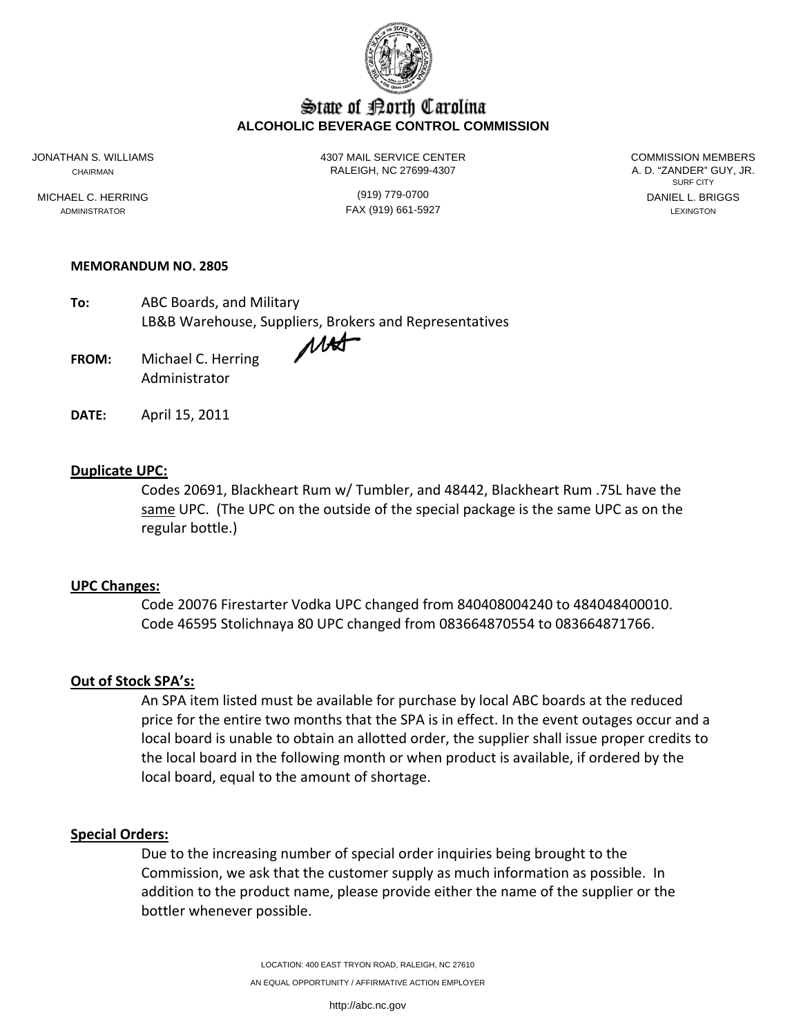

# State of Borth Carolina **ALCOHOLIC BEVERAGE CONTROL COMMISSION**

JONATHAN S. WILLIAMS 4307 MAIL SERVICE CENTER COMMISSION MEMBERS CHAIRMAN CHAIRMAN RALEIGH, NC 27699-4307

SURF CITY MICHAEL C. HERRING (919) 779-0700 DANIEL L. BRIGGS

ADMINISTRATOR LEXINGTON FAX (919) 661-5927 LEXINGTON LEXINGTON

### **MEMORANDUM NO. 2805**

**To:** ABC Boards, and Military LB&B Warehouse, Suppliers, Brokers and Representatives

**FROM:** Michael C. Herring Administrator

**DATE:** April 15, 2011

## **Duplicate UPC:**

Codes 20691, Blackheart Rum w/ Tumbler, and 48442, Blackheart Rum .75L have the same UPC. (The UPC on the outside of the special package is the same UPC as on the regular bottle.)

### **UPC Changes:**

Code 20076 Firestarter Vodka UPC changed from 840408004240 to 484048400010. Code 46595 Stolichnaya 80 UPC changed from 083664870554 to 083664871766.

### **Out of Stock SPA's:**

An SPA item listed must be available for purchase by local ABC boards at the reduced price for the entire two months that the SPA is in effect. In the event outages occur and a local board is unable to obtain an allotted order, the supplier shall issue proper credits to the local board in the following month or when product is available, if ordered by the local board, equal to the amount of shortage.

#### **Special Orders:**

Due to the increasing number of special order inquiries being brought to the Commission, we ask that the customer supply as much information as possible. In addition to the product name, please provide either the name of the supplier or the bottler whenever possible.